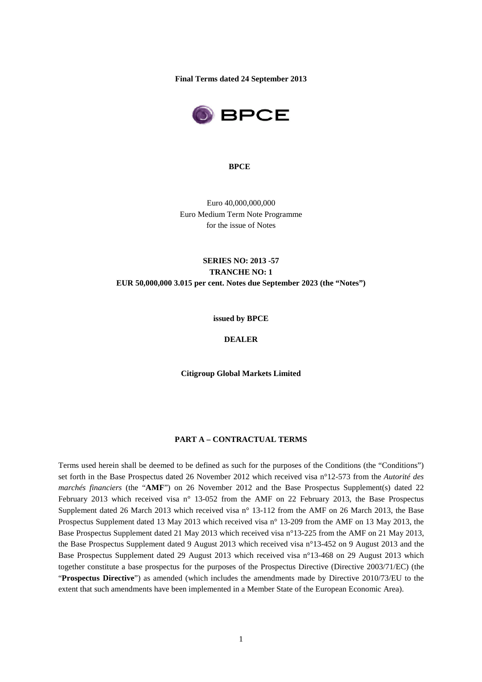**Final Terms dated 24 September 2013**



#### **BPCE**

Euro 40,000,000,000 Euro Medium Term Note Programme for the issue of Notes

# **SERIES NO: 2013 -57 TRANCHE NO: 1 EUR 50,000,000 3.015 per cent. Notes due September 2023 (the "Notes")**

**issued by BPCE** 

**DEALER** 

**Citigroup Global Markets Limited**

## **PART A – CONTRACTUAL TERMS**

Terms used herein shall be deemed to be defined as such for the purposes of the Conditions (the "Conditions") set forth in the Base Prospectus dated 26 November 2012 which received visa n°12-573 from the *Autorité des marchés financiers* (the "**AMF**") on 26 November 2012 and the Base Prospectus Supplement(s) dated 22 February 2013 which received visa n° 13-052 from the AMF on 22 February 2013, the Base Prospectus Supplement dated 26 March 2013 which received visa n° 13-112 from the AMF on 26 March 2013, the Base Prospectus Supplement dated 13 May 2013 which received visa n° 13-209 from the AMF on 13 May 2013, the Base Prospectus Supplement dated 21 May 2013 which received visa n°13-225 from the AMF on 21 May 2013, the Base Prospectus Supplement dated 9 August 2013 which received visa n°13-452 on 9 August 2013 and the Base Prospectus Supplement dated 29 August 2013 which received visa n°13-468 on 29 August 2013 which together constitute a base prospectus for the purposes of the Prospectus Directive (Directive 2003/71/EC) (the "**Prospectus Directive**") as amended (which includes the amendments made by Directive 2010/73/EU to the extent that such amendments have been implemented in a Member State of the European Economic Area).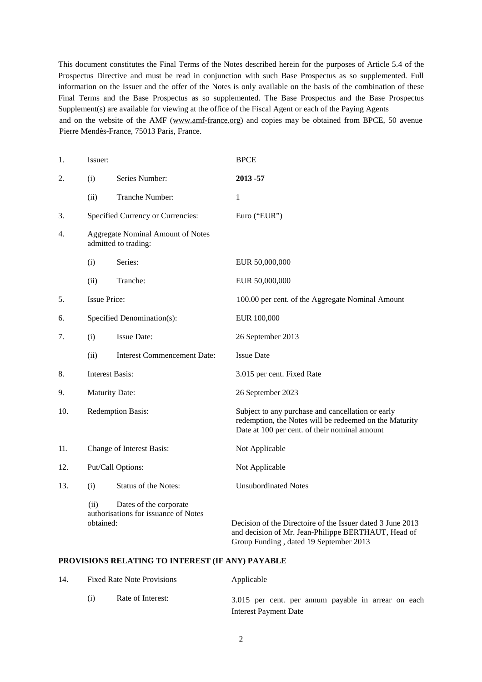This document constitutes the Final Terms of the Notes described herein for the purposes of Article 5.4 of the Prospectus Directive and must be read in conjunction with such Base Prospectus as so supplemented. Full information on the Issuer and the offer of the Notes is only available on the basis of the combination of these Final Terms and the Base Prospectus as so supplemented. The Base Prospectus and the Base Prospectus Supplement(s) are available for viewing at the office of the Fiscal Agent or each of the Paying Agents and on the website of the AMF (www.amf-france.org) and copies may be obtained from BPCE, 50 avenue Pierre Mendès-France, 75013 Paris, France.

| 1.  | Issuer:                                                                             |                                                                  | <b>BPCE</b>                                                                                                                                                  |
|-----|-------------------------------------------------------------------------------------|------------------------------------------------------------------|--------------------------------------------------------------------------------------------------------------------------------------------------------------|
| 2.  | (i)                                                                                 | Series Number:                                                   | 2013-57                                                                                                                                                      |
|     | (ii)                                                                                | Tranche Number:                                                  | 1                                                                                                                                                            |
| 3.  |                                                                                     | Specified Currency or Currencies:                                | Euro ("EUR")                                                                                                                                                 |
| 4.  |                                                                                     | <b>Aggregate Nominal Amount of Notes</b><br>admitted to trading: |                                                                                                                                                              |
|     | (i)                                                                                 | Series:                                                          | EUR 50,000,000                                                                                                                                               |
|     | (ii)                                                                                | Tranche:                                                         | EUR 50,000,000                                                                                                                                               |
| 5.  | <b>Issue Price:</b>                                                                 |                                                                  | 100.00 per cent. of the Aggregate Nominal Amount                                                                                                             |
| 6.  |                                                                                     | Specified Denomination(s):                                       | EUR 100,000                                                                                                                                                  |
| 7.  | (i)                                                                                 | <b>Issue Date:</b>                                               | 26 September 2013                                                                                                                                            |
|     | (ii)                                                                                | <b>Interest Commencement Date:</b>                               | <b>Issue Date</b>                                                                                                                                            |
| 8.  |                                                                                     | <b>Interest Basis:</b>                                           | 3.015 per cent. Fixed Rate                                                                                                                                   |
| 9.  |                                                                                     | <b>Maturity Date:</b>                                            | 26 September 2023                                                                                                                                            |
| 10. | Redemption Basis:                                                                   |                                                                  | Subject to any purchase and cancellation or early<br>redemption, the Notes will be redeemed on the Maturity<br>Date at 100 per cent. of their nominal amount |
| 11. |                                                                                     | Change of Interest Basis:                                        | Not Applicable                                                                                                                                               |
| 12. | Put/Call Options:                                                                   |                                                                  | Not Applicable                                                                                                                                               |
| 13. | (i)                                                                                 | Status of the Notes:                                             | <b>Unsubordinated Notes</b>                                                                                                                                  |
|     | Dates of the corporate<br>(ii)<br>authorisations for issuance of Notes<br>obtained: |                                                                  | Decision of the Directoire of the Issuer dated 3 June 2013<br>and decision of Mr. Jean-Philippe BERTHAUT, Head of<br>Group Funding, dated 19 September 2013  |

#### **PROVISIONS RELATING TO INTEREST (IF ANY) PAYABLE**

| 14. | <b>Fixed Rate Note Provisions</b> |                   | Applicable                                          |  |  |
|-----|-----------------------------------|-------------------|-----------------------------------------------------|--|--|
|     |                                   | Rate of Interest: | 3.015 per cent. per annum payable in arrear on each |  |  |
|     |                                   |                   | Interest Payment Date                               |  |  |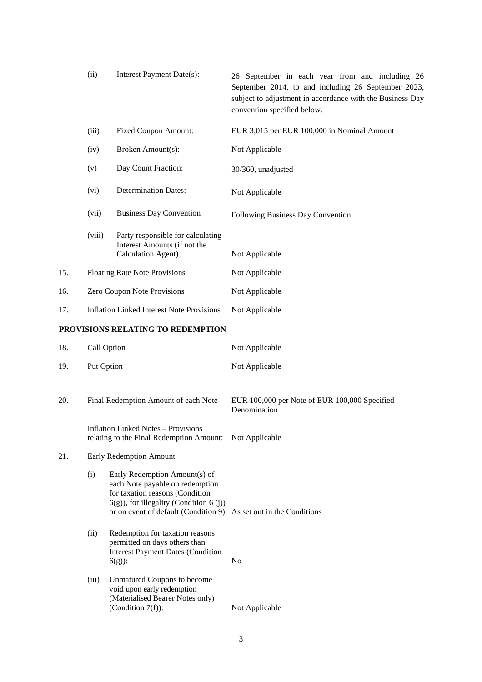|     | (ii)                                             | Interest Payment Date(s):                                                                                                                                                                                              | 26 September in each year from and including 26<br>September 2014, to and including 26 September 2023,<br>subject to adjustment in accordance with the Business Day<br>convention specified below. |
|-----|--------------------------------------------------|------------------------------------------------------------------------------------------------------------------------------------------------------------------------------------------------------------------------|----------------------------------------------------------------------------------------------------------------------------------------------------------------------------------------------------|
|     | (iii)                                            | <b>Fixed Coupon Amount:</b>                                                                                                                                                                                            | EUR 3,015 per EUR 100,000 in Nominal Amount                                                                                                                                                        |
|     | (iv)                                             | Broken Amount(s):                                                                                                                                                                                                      | Not Applicable                                                                                                                                                                                     |
|     | (v)                                              | Day Count Fraction:                                                                                                                                                                                                    | 30/360, unadjusted                                                                                                                                                                                 |
|     | (vi)                                             | <b>Determination Dates:</b>                                                                                                                                                                                            | Not Applicable                                                                                                                                                                                     |
|     | (vii)                                            | <b>Business Day Convention</b>                                                                                                                                                                                         | Following Business Day Convention                                                                                                                                                                  |
|     | (viii)                                           | Party responsible for calculating<br>Interest Amounts (if not the<br>Calculation Agent)                                                                                                                                | Not Applicable                                                                                                                                                                                     |
| 15. |                                                  | <b>Floating Rate Note Provisions</b>                                                                                                                                                                                   | Not Applicable                                                                                                                                                                                     |
| 16. | Zero Coupon Note Provisions                      |                                                                                                                                                                                                                        | Not Applicable                                                                                                                                                                                     |
| 17. | <b>Inflation Linked Interest Note Provisions</b> |                                                                                                                                                                                                                        | Not Applicable                                                                                                                                                                                     |
|     |                                                  | PROVISIONS RELATING TO REDEMPTION                                                                                                                                                                                      |                                                                                                                                                                                                    |
| 18. | Call Option                                      |                                                                                                                                                                                                                        | Not Applicable                                                                                                                                                                                     |
| 19. | Put Option                                       |                                                                                                                                                                                                                        | Not Applicable                                                                                                                                                                                     |
| 20. | Final Redemption Amount of each Note             |                                                                                                                                                                                                                        | EUR 100,000 per Note of EUR 100,000 Specified<br>Denomination                                                                                                                                      |
|     |                                                  | <b>Inflation Linked Notes - Provisions</b><br>relating to the Final Redemption Amount: Not Applicable                                                                                                                  |                                                                                                                                                                                                    |
| 21. | Early Redemption Amount                          |                                                                                                                                                                                                                        |                                                                                                                                                                                                    |
|     | (i)                                              | Early Redemption Amount(s) of<br>each Note payable on redemption<br>for taxation reasons (Condition<br>$6(g)$ , for illegality (Condition 6 (j))<br>or on event of default (Condition 9): As set out in the Conditions |                                                                                                                                                                                                    |
|     | (ii)                                             | Redemption for taxation reasons<br>permitted on days others than<br><b>Interest Payment Dates (Condition</b><br>$6(g)$ :                                                                                               | No                                                                                                                                                                                                 |
|     | (iii)                                            | Unmatured Coupons to become<br>void upon early redemption<br>(Materialised Bearer Notes only)<br>(Condition $7(f)$ ):                                                                                                  | Not Applicable                                                                                                                                                                                     |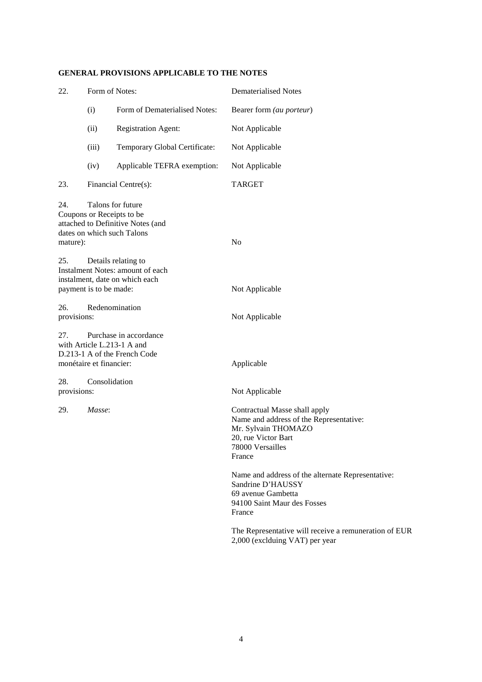| Form of Notes:<br>22. |                               | <b>Dematerialised Notes</b>                                                                                                                                                                                                                                                                                                                                                                                            |
|-----------------------|-------------------------------|------------------------------------------------------------------------------------------------------------------------------------------------------------------------------------------------------------------------------------------------------------------------------------------------------------------------------------------------------------------------------------------------------------------------|
| (i)                   | Form of Dematerialised Notes: | Bearer form (au porteur)                                                                                                                                                                                                                                                                                                                                                                                               |
| (ii)                  | <b>Registration Agent:</b>    | Not Applicable                                                                                                                                                                                                                                                                                                                                                                                                         |
| (iii)                 | Temporary Global Certificate: | Not Applicable                                                                                                                                                                                                                                                                                                                                                                                                         |
| (iv)                  | Applicable TEFRA exemption:   | Not Applicable                                                                                                                                                                                                                                                                                                                                                                                                         |
|                       |                               | <b>TARGET</b>                                                                                                                                                                                                                                                                                                                                                                                                          |
| mature):              |                               | N <sub>0</sub>                                                                                                                                                                                                                                                                                                                                                                                                         |
|                       |                               | Not Applicable                                                                                                                                                                                                                                                                                                                                                                                                         |
| provisions:           |                               | Not Applicable                                                                                                                                                                                                                                                                                                                                                                                                         |
|                       |                               | Applicable                                                                                                                                                                                                                                                                                                                                                                                                             |
| provisions:           |                               | Not Applicable                                                                                                                                                                                                                                                                                                                                                                                                         |
| Masse:                |                               | Contractual Masse shall apply<br>Name and address of the Representative:<br>Mr. Sylvain THOMAZO<br>20, rue Victor Bart<br>78000 Versailles<br>France<br>Name and address of the alternate Representative:<br>Sandrine D'HAUSSY<br>69 avenue Gambetta<br>94100 Saint Maur des Fosses<br>France<br>The Representative will receive a remuneration of EUR<br>2,000 (exclduing VAT) per year                               |
|                       |                               | Financial Centre(s):<br>Talons for future<br>Coupons or Receipts to be<br>attached to Definitive Notes (and<br>dates on which such Talons<br>Details relating to<br>Instalment Notes: amount of each<br>instalment, date on which each<br>payment is to be made:<br>Redenomination<br>Purchase in accordance<br>with Article L.213-1 A and<br>D.213-1 A of the French Code<br>monétaire et financier:<br>Consolidation |

# **GENERAL PROVISIONS APPLICABLE TO THE NOTES**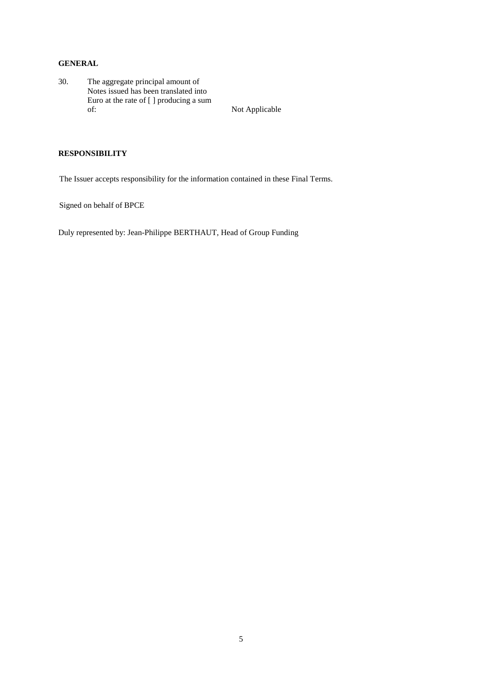## **GENERAL**

30. The aggregate principal amount of Notes issued has been translated into Euro at the rate of [ ] producing a sum of: Not Applicable

## **RESPONSIBILITY**

The Issuer accepts responsibility for the information contained in these Final Terms.

Signed on behalf of BPCE

Duly represented by: Jean-Philippe BERTHAUT, Head of Group Funding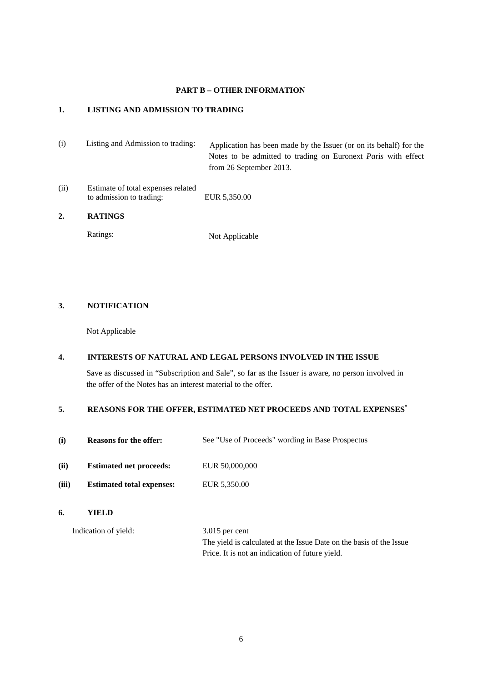### **PART B – OTHER INFORMATION**

#### **1. LISTING AND ADMISSION TO TRADING**

- (i) Listing and Admission to trading: Application has been made by the Issuer (or on its behalf) for the Notes to be admitted to trading on Euronext *Pa*ri*s* with effect from 26 September 2013.
- (ii) Estimate of total expenses related to admission to trading: EUR 5,350.00

## **2. RATINGS**

Ratings: Not Applicable

### **3. NOTIFICATION**

Not Applicable

#### **4. INTERESTS OF NATURAL AND LEGAL PERSONS INVOLVED IN THE ISSUE**

Save as discussed in "Subscription and Sale", so far as the Issuer is aware, no person involved in the offer of the Notes has an interest material to the offer.

#### **5. REASONS FOR THE OFFER, ESTIMATED NET PROCEEDS AND TOTAL EXPENSES\***

- (i) **Reasons for the offer:** See "Use of Proceeds" wording in Base Prospectus
- **(ii)** Estimated net proceeds: EUR 50,000,000
- **(iii) Estimated total expenses:** EUR 5,350.00
- **6. YIELD**

Indication of yield: 3.015 per cent The yield is calculated at the Issue Date on the basis of the Issue Price. It is not an indication of future yield.